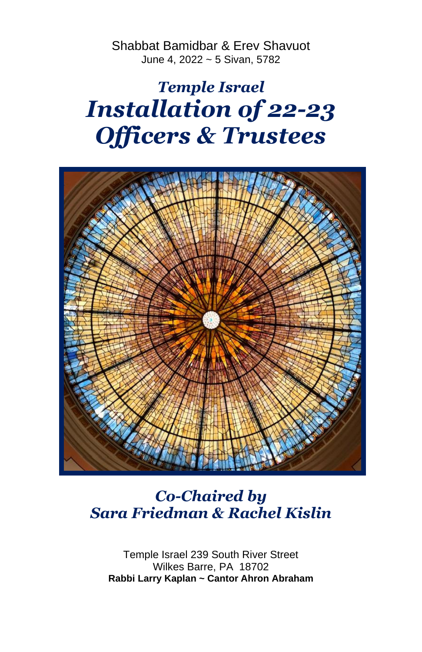Shabbat Bamidbar & Erev Shavuot June 4, 2022 ~ 5 Sivan, 5782

# *Temple Israel Installation of 22-23 Officers & Trustees*



## *Co-Chaired by Sara Friedman & Rachel Kislin*

Temple Israel 239 South River Street Wilkes Barre, PA 18702 **Rabbi Larry Kaplan ~ Cantor Ahron Abraham**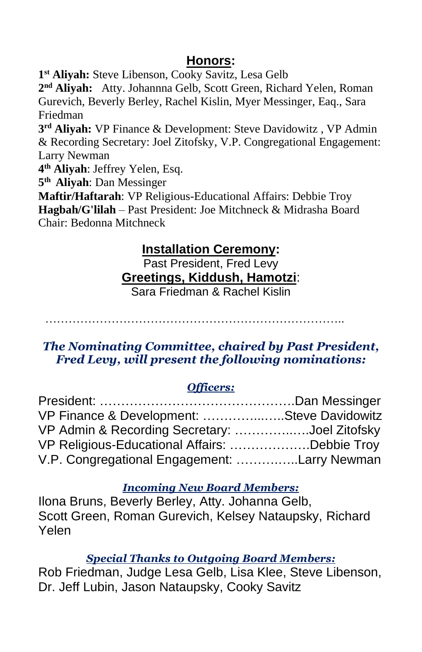#### **Honors:**

**1 st Aliyah:** Steve Libenson, Cooky Savitz, Lesa Gelb

**2 nd Aliyah:** Atty. Johannna Gelb, Scott Green, Richard Yelen, Roman Gurevich, Beverly Berley, Rachel Kislin, Myer Messinger, Eaq., Sara Friedman

**3 rd Aliyah:** VP Finance & Development: Steve Davidowitz , VP Admin & Recording Secretary: Joel Zitofsky, V.P. Congregational Engagement: Larry Newman

**4 th Aliyah**: Jeffrey Yelen, Esq.

**5 th Aliyah**: Dan Messinger

**Maftir/Haftarah**: VP Religious-Educational Affairs: Debbie Troy **Hagbah/G'lilah** – Past President: Joe Mitchneck & Midrasha Board Chair: Bedonna Mitchneck

### **Installation Ceremony:**

Past President, Fred Levy **Greetings, Kiddush, Hamotzi**: Sara Friedman & Rachel Kislin

…………………………………………………………………..

#### *The Nominating Committee, chaired by Past President, Fred Levy, will present the following nominations:*

#### *Officers:*

| VP Finance & Development: Steve Davidowitz    |  |
|-----------------------------------------------|--|
| VP Admin & Recording Secretary: Joel Zitofsky |  |
| VP Religious-Educational Affairs: Debbie Troy |  |
| V.P. Congregational Engagement: Larry Newman  |  |

#### *Incoming New Board Members:*

Ilona Bruns, Beverly Berley, Atty. Johanna Gelb, Scott Green, Roman Gurevich, Kelsey Nataupsky, Richard Yelen

#### *Special Thanks to Outgoing Board Members:*

Rob Friedman, Judge Lesa Gelb, Lisa Klee, Steve Libenson, Dr. Jeff Lubin, Jason Nataupsky, Cooky Savitz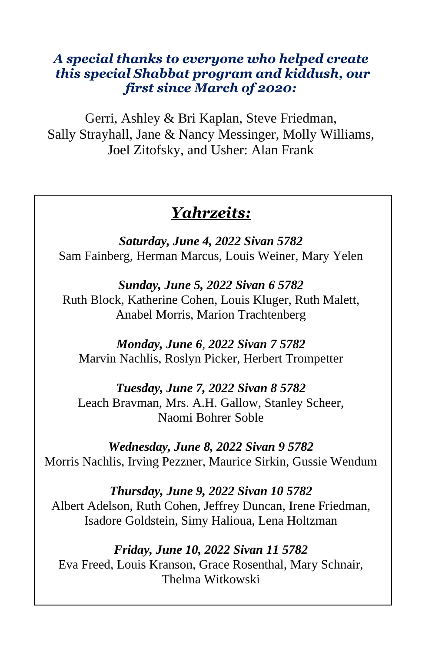#### *A special thanks to everyone who helped create this special Shabbat program and kiddush, our first since March of 2020:*

Gerri, Ashley & Bri Kaplan, Steve Friedman, Sally Strayhall, Jane & Nancy Messinger, Molly Williams, Joel Zitofsky, and Usher: Alan Frank

## *Yahrzeits:*

*Saturday, June 4, 2022 Sivan 5782* Sam Fainberg, Herman Marcus, Louis Weiner, Mary Yelen

*Sunday, June 5, 2022 Sivan 6 5782* Ruth Block, Katherine Cohen, Louis Kluger, Ruth Malett, Anabel Morris, Marion Trachtenberg

*Monday, June 6, 2022 Sivan 7 5782* Marvin Nachlis, Roslyn Picker, Herbert Trompetter

*Tuesday, June 7, 2022 Sivan 8 5782* Leach Bravman, Mrs. A.H. Gallow, Stanley Scheer, Naomi Bohrer Soble

*Wednesday, June 8, 2022 Sivan 9 5782* Morris Nachlis, Irving Pezzner, Maurice Sirkin, Gussie Wendum

*Thursday, June 9, 2022 Sivan 10 5782* Albert Adelson, Ruth Cohen, Jeffrey Duncan, Irene Friedman, Isadore Goldstein, Simy Halioua, Lena Holtzman

*Friday, June 10, 2022 Sivan 11 5782* Eva Freed, Louis Kranson, Grace Rosenthal, Mary Schnair, Thelma Witkowski